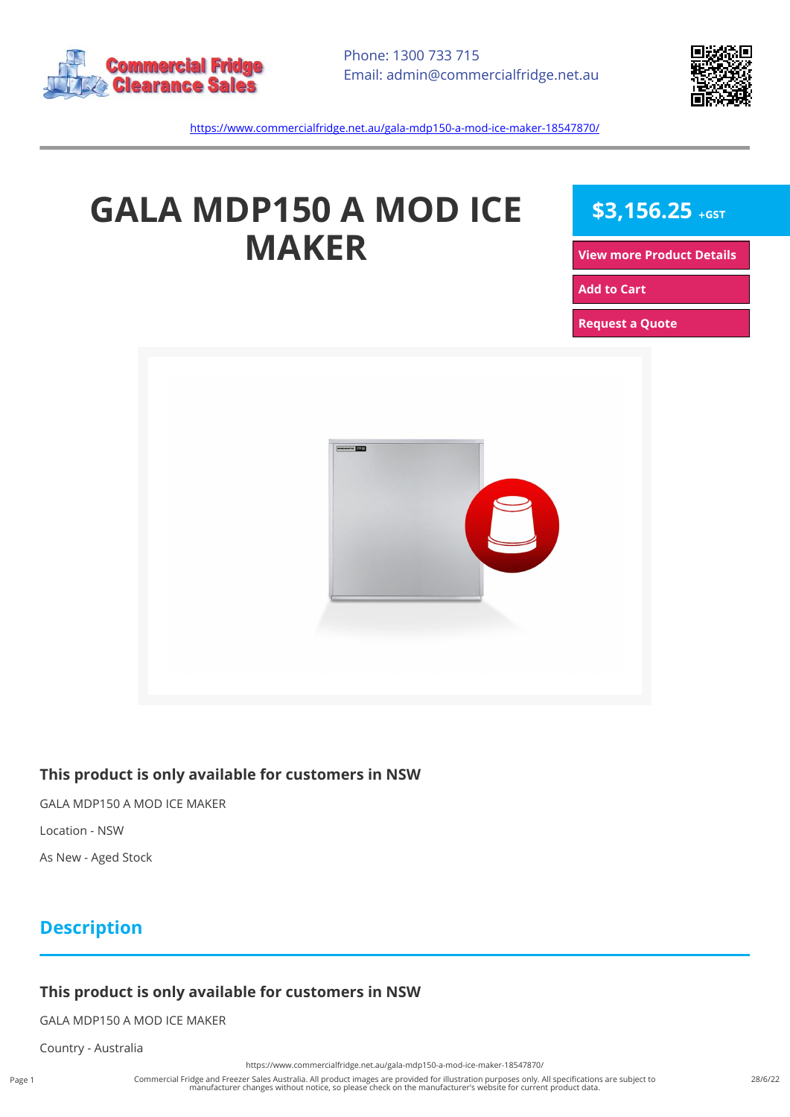



<https://www.commercialfridge.net.au/gala-mdp150-a-mod-ice-maker-18547870/>

# **GALA MDP150 A MOD ICE MAKER**

**\$3,156.25 +GST**

**[View more Product Details](https://www.commercialfridge.net.au/gala-mdp150-a-mod-ice-maker-18547870/)**

**[Add to Cart](https://www.commercialfridge.net.au/gala-mdp150-a-mod-ice-maker-18547870/?addtocart=1)** 

**[Request a Quote](https://www.commercialfridge.net.au/gala-mdp150-a-mod-ice-maker-18547870/?requestaquote=1)** 



#### **This product is only available for customers in NSW**

GALA MDP150 A MOD ICE MAKER

Location - NSW

As New - Aged Stock

### **Description**

#### **This product is only available for customers in NSW**

GALA MDP150 A MOD ICE MAKER

Country - Australia